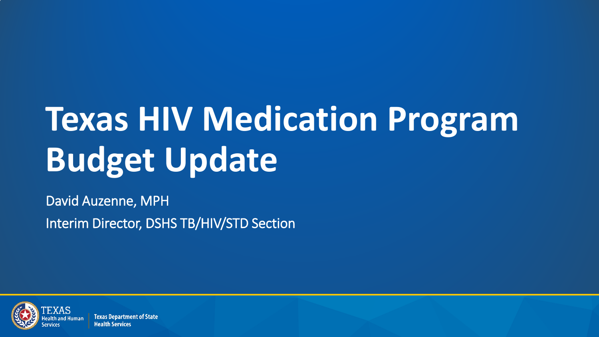## **Texas HIV Medication Program Budget Update**

David Auzenne, MPH Interim Director, DSHS TB/HIV/STD Section



**Texas Department of State Health Services**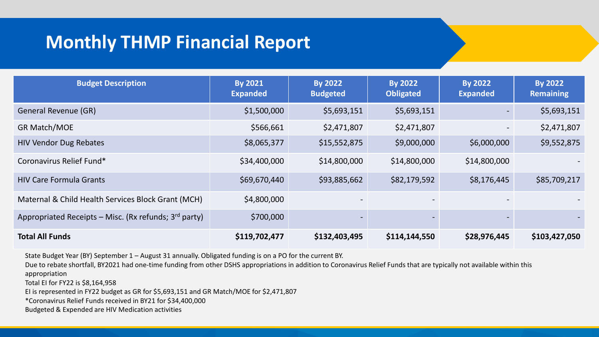## **Monthly THMP Financial Report**

| <b>Budget Description</b>                               | <b>By 2021</b><br><b>Expanded</b> | <b>By 2022</b><br><b>Budgeted</b> | <b>By 2022</b><br><b>Obligated</b> | <b>By 2022</b><br><b>Expanded</b> | <b>By 2022</b><br><b>Remaining</b> |
|---------------------------------------------------------|-----------------------------------|-----------------------------------|------------------------------------|-----------------------------------|------------------------------------|
| General Revenue (GR)                                    | \$1,500,000                       | \$5,693,151                       | \$5,693,151                        |                                   | \$5,693,151                        |
| <b>GR Match/MOE</b>                                     | \$566,661                         | \$2,471,807                       | \$2,471,807                        |                                   | \$2,471,807                        |
| <b>HIV Vendor Dug Rebates</b>                           | \$8,065,377                       | \$15,552,875                      | \$9,000,000                        | \$6,000,000                       | \$9,552,875                        |
| Coronavirus Relief Fund*                                | \$34,400,000                      | \$14,800,000                      | \$14,800,000                       | \$14,800,000                      |                                    |
| <b>HIV Care Formula Grants</b>                          | \$69,670,440                      | \$93,885,662                      | \$82,179,592                       | \$8,176,445                       | \$85,709,217                       |
| Maternal & Child Health Services Block Grant (MCH)      | \$4,800,000                       |                                   |                                    |                                   |                                    |
| Appropriated Receipts – Misc. (Rx refunds; $3rd$ party) | \$700,000                         | $\overline{\phantom{a}}$          |                                    |                                   |                                    |
| <b>Total All Funds</b>                                  | \$119,702,477                     | \$132,403,495                     | \$114,144,550                      | \$28,976,445                      | \$103,427,050                      |

State Budget Year (BY) September 1 – August 31 annually. Obligated funding is on a PO for the current BY.

Due to rebate shortfall, BY2021 had one-time funding from other DSHS appropriations in addition to Coronavirus Relief Funds that are typically not available within this appropriation

Total EI for FY22 is \$8,164,958

EI is represented in FY22 budget as GR for \$5,693,151 and GR Match/MOE for \$2,471,807

\*Coronavirus Relief Funds received in BY21 for \$34,400,000

Budgeted & Expended are HIV Medication activities